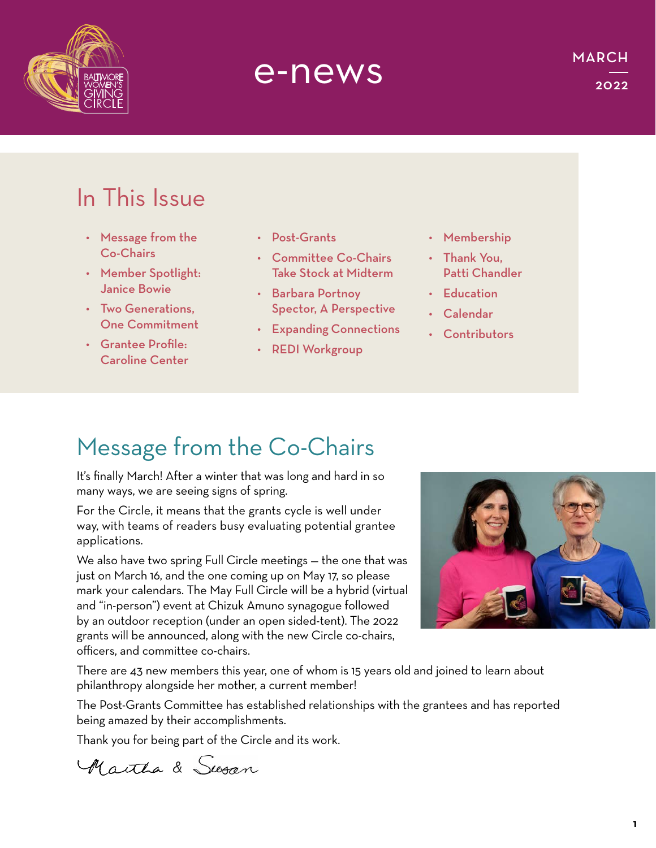

# e-news

## In This Issue

- Message from the Co-Chairs
- Member Spotlight: Janice Bowie
- Two Generations, One Commitment
- Grantee Profile: Caroline Center
- Post-Grants
- Committee Co-Chairs Take Stock at Midterm
- Barbara Portnoy Spector, A Perspective
- Expanding Connections
- REDI Workgroup
- Membership
- Thank You, Patti Chandler
- Education
- Calendar
- Contributors

# Message from the Co-Chairs

It's finally March! After a winter that was long and hard in so many ways, we are seeing signs of spring.

For the Circle, it means that the grants cycle is well under way, with teams of readers busy evaluating potential grantee applications.

We also have two spring Full Circle meetings — the one that was just on March 16, and the one coming up on May 17, so please mark your calendars. The May Full Circle will be a hybrid (virtual and "in-person") event at Chizuk Amuno synagogue followed by an outdoor reception (under an open sided-tent). The 2022 grants will be announced, along with the new Circle co-chairs, officers, and committee co-chairs.



There are 43 new members this year, one of whom is 15 years old and joined to learn about philanthropy alongside her mother, a current member!

The Post-Grants Committee has established relationships with the grantees and has reported being amazed by their accomplishments.

Thank you for being part of the Circle and its work.

A author & Susan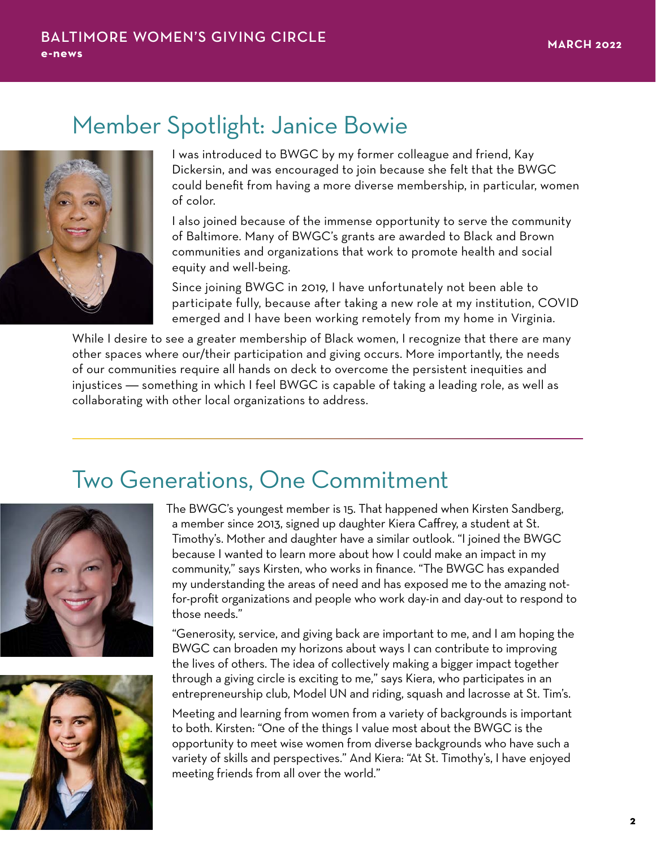### Member Spotlight: Janice Bowie



I was introduced to BWGC by my former colleague and friend, Kay Dickersin, and was encouraged to join because she felt that the BWGC could benefit from having a more diverse membership, in particular, women of color.

I also joined because of the immense opportunity to serve the community of Baltimore. Many of BWGC's grants are awarded to Black and Brown communities and organizations that work to promote health and social equity and well-being.

Since joining BWGC in 2019, I have unfortunately not been able to participate fully, because after taking a new role at my institution, COVID emerged and I have been working remotely from my home in Virginia.

While I desire to see a greater membership of Black women, I recognize that there are many other spaces where our/their participation and giving occurs. More importantly, the needs of our communities require all hands on deck to overcome the persistent inequities and injustices — something in which I feel BWGC is capable of taking a leading role, as well as collaborating with other local organizations to address.

### Two Generations, One Commitment





The BWGC's youngest member is 15. That happened when Kirsten Sandberg, a member since 2013, signed up daughter Kiera Caffrey, a student at St. Timothy's. Mother and daughter have a similar outlook. "I joined the BWGC because I wanted to learn more about how I could make an impact in my community," says Kirsten, who works in finance. "The BWGC has expanded my understanding the areas of need and has exposed me to the amazing notfor-profit organizations and people who work day-in and day-out to respond to those needs."

"Generosity, service, and giving back are important to me, and I am hoping the BWGC can broaden my horizons about ways I can contribute to improving the lives of others. The idea of collectively making a bigger impact together through a giving circle is exciting to me," says Kiera, who participates in an entrepreneurship club, Model UN and riding, squash and lacrosse at St. Tim's.

Meeting and learning from women from a variety of backgrounds is important to both. Kirsten: "One of the things I value most about the BWGC is the opportunity to meet wise women from diverse backgrounds who have such a variety of skills and perspectives." And Kiera: "At St. Timothy's, I have enjoyed meeting friends from all over the world."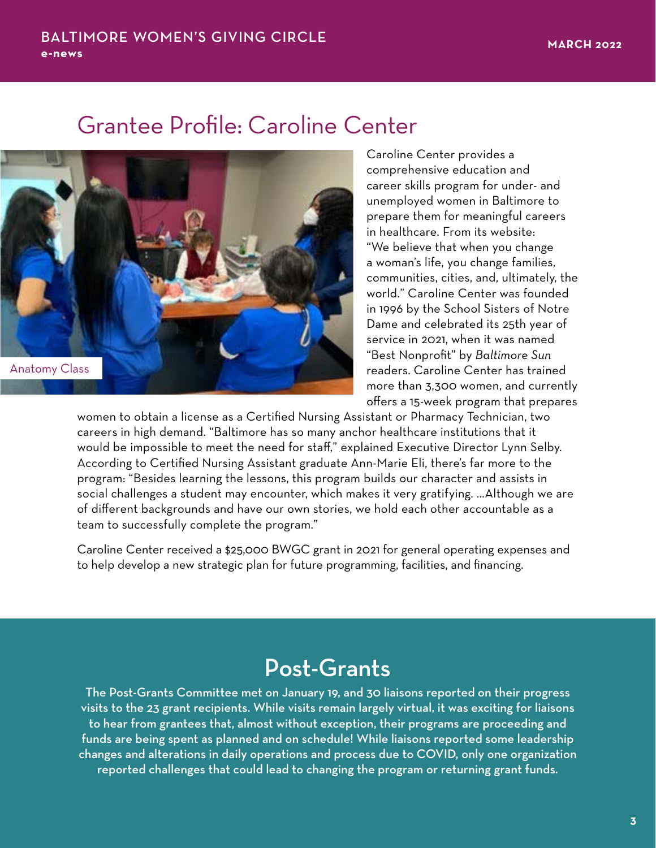### Grantee Profile: Caroline Center



Caroline Center provides a comprehensive education and career skills program for under- and unemployed women in Baltimore to prepare them for meaningful careers in healthcare. From its website: "We believe that when you change a woman's life, you change families, communities, cities, and, ultimately, the world." Caroline Center was founded in 1996 by the School Sisters of Notre Dame and celebrated its 25th year of service in 2021, when it was named "Best Nonprofit" by *Baltimore Sun* readers. Caroline Center has trained more than 3,300 women, and currently offers a 15-week program that prepares

women to obtain a license as a Certified Nursing Assistant or Pharmacy Technician, two careers in high demand. "Baltimore has so many anchor healthcare institutions that it would be impossible to meet the need for staff," explained Executive Director Lynn Selby. According to Certified Nursing Assistant graduate Ann-Marie Eli, there's far more to the program: "Besides learning the lessons, this program builds our character and assists in social challenges a student may encounter, which makes it very gratifying. …Although we are of different backgrounds and have our own stories, we hold each other accountable as a team to successfully complete the program."

Caroline Center received a \$25,000 BWGC grant in 2021 for general operating expenses and to help develop a new strategic plan for future programming, facilities, and financing.

### Post-Grants

The Post-Grants Committee met on January 19, and 30 liaisons reported on their progress visits to the 23 grant recipients. While visits remain largely virtual, it was exciting for liaisons to hear from grantees that, almost without exception, their programs are proceeding and funds are being spent as planned and on schedule! While liaisons reported some leadership changes and alterations in daily operations and process due to COVID, only one organization reported challenges that could lead to changing the program or returning grant funds.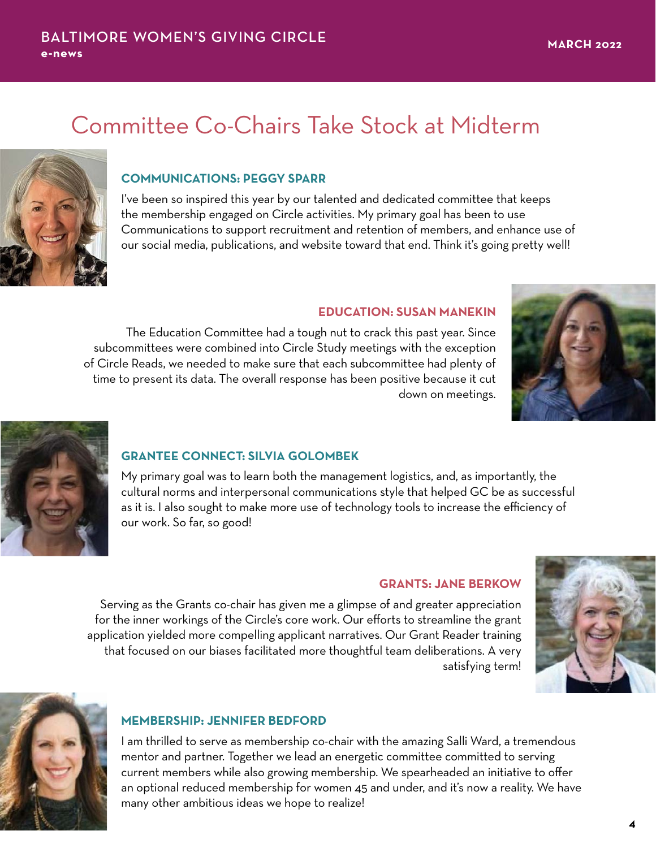# Committee Co-Chairs Take Stock at Midterm



#### **COMMUNICATIONS: PEGGY SPARR**

I've been so inspired this year by our talented and dedicated committee that keeps the membership engaged on Circle activities. My primary goal has been to use Communications to support recruitment and retention of members, and enhance use of our social media, publications, and website toward that end. Think it's going pretty well!

#### **EDUCATION: SUSAN MANEKIN**

The Education Committee had a tough nut to crack this past year. Since subcommittees were combined into Circle Study meetings with the exception of Circle Reads, we needed to make sure that each subcommittee had plenty of time to present its data. The overall response has been positive because it cut down on meetings.





#### **GRANTEE CONNECT: SILVIA GOLOMBEK**

My primary goal was to learn both the management logistics, and, as importantly, the cultural norms and interpersonal communications style that helped GC be as successful as it is. I also sought to make more use of technology tools to increase the efficiency of our work. So far, so good!

#### **GRANTS: JANE BERKOW**

Serving as the Grants co-chair has given me a glimpse of and greater appreciation for the inner workings of the Circle's core work. Our efforts to streamline the grant application yielded more compelling applicant narratives. Our Grant Reader training that focused on our biases facilitated more thoughtful team deliberations. A very satisfying term!





#### **MEMBERSHIP: JENNIFER BEDFORD**

I am thrilled to serve as membership co-chair with the amazing Salli Ward, a tremendous mentor and partner. Together we lead an energetic committee committed to serving current members while also growing membership. We spearheaded an initiative to offer an optional reduced membership for women 45 and under, and it's now a reality. We have many other ambitious ideas we hope to realize!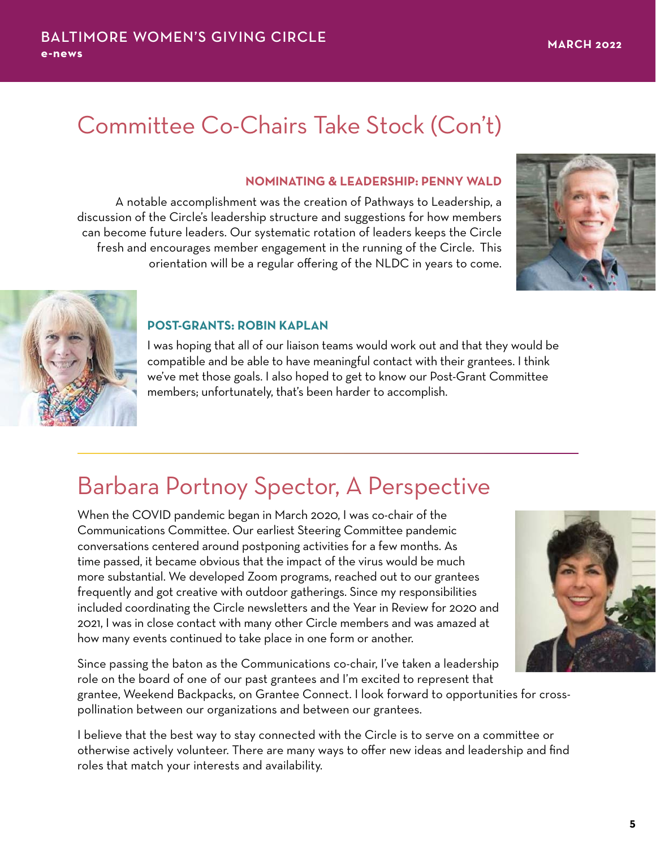# Committee Co-Chairs Take Stock (Con't)

#### **NOMINATING & LEADERSHIP: PENNY WALD**

A notable accomplishment was the creation of Pathways to Leadership, a discussion of the Circle's leadership structure and suggestions for how members can become future leaders. Our systematic rotation of leaders keeps the Circle fresh and encourages member engagement in the running of the Circle. This orientation will be a regular offering of the NLDC in years to come.





#### **POST-GRANTS: ROBIN KAPLAN**

I was hoping that all of our liaison teams would work out and that they would be compatible and be able to have meaningful contact with their grantees. I think we've met those goals. I also hoped to get to know our Post-Grant Committee members; unfortunately, that's been harder to accomplish.

### Barbara Portnoy Spector, A Perspective

When the COVID pandemic began in March 2020, I was co-chair of the Communications Committee. Our earliest Steering Committee pandemic conversations centered around postponing activities for a few months. As time passed, it became obvious that the impact of the virus would be much more substantial. We developed Zoom programs, reached out to our grantees frequently and got creative with outdoor gatherings. Since my responsibilities included coordinating the Circle newsletters and the Year in Review for 2020 and 2021, I was in close contact with many other Circle members and was amazed at how many events continued to take place in one form or another.

Since passing the baton as the Communications co-chair, I've taken a leadership role on the board of one of our past grantees and I'm excited to represent that grantee, Weekend Backpacks, on Grantee Connect. I look forward to opportunities for cross-

pollination between our organizations and between our grantees.

I believe that the best way to stay connected with the Circle is to serve on a committee or otherwise actively volunteer. There are many ways to offer new ideas and leadership and find roles that match your interests and availability.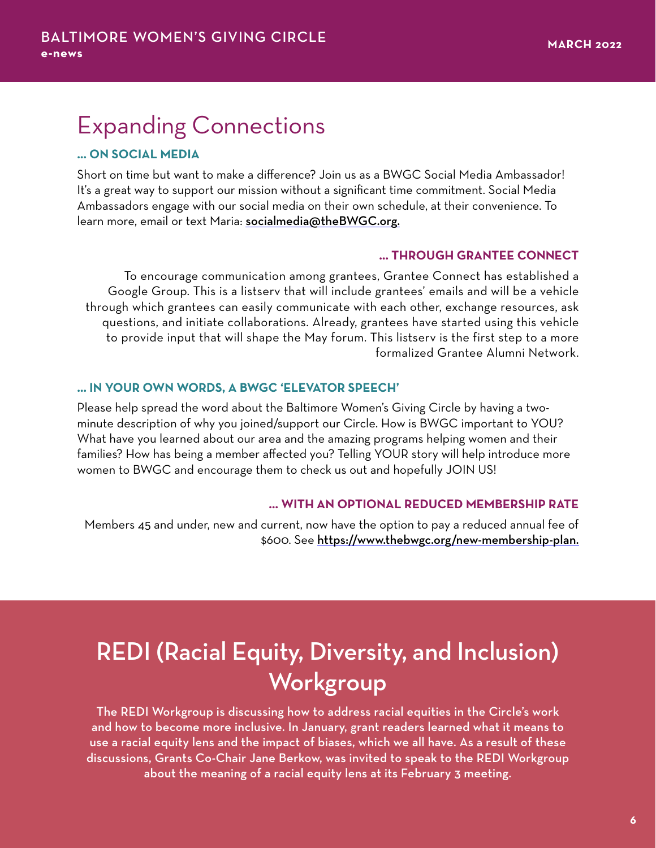## Expanding Connections

#### **… ON SOCIAL MEDIA**

Short on time but want to make a difference? Join us as a BWGC Social Media Ambassador! It's a great way to support our mission without a significant time commitment. Social Media Ambassadors engage with our social media on their own schedule, at their convenience. To learn more, email or text Maria: [socialmedia@theBWGC.org.](mailto:socialmedia@theBWGC.org)

#### **… THROUGH GRANTEE CONNECT**

To encourage communication among grantees, Grantee Connect has established a Google Group. This is a listserv that will include grantees' emails and will be a vehicle through which grantees can easily communicate with each other, exchange resources, ask questions, and initiate collaborations. Already, grantees have started using this vehicle to provide input that will shape the May forum. This listserv is the first step to a more formalized Grantee Alumni Network.

#### **… IN YOUR OWN WORDS, A BWGC 'ELEVATOR SPEECH'**

Please help spread the word about the Baltimore Women's Giving Circle by having a twominute description of why you joined/support our Circle. How is BWGC important to YOU? What have you learned about our area and the amazing programs helping women and their families? How has being a member affected you? Telling YOUR story will help introduce more women to BWGC and encourage them to check us out and hopefully JOIN US!

#### **… WITH AN OPTIONAL REDUCED MEMBERSHIP RATE**

Members 45 and under, new and current, now have the option to pay a reduced annual fee of \$600. See [https://www.thebwgc.org/new-membership-plan.](https://www.thebwgc.org/new-membership-plan)

## REDI (Racial Equity, Diversity, and Inclusion) Workgroup

The REDI Workgroup is discussing how to address racial equities in the Circle's work and how to become more inclusive. In January, grant readers learned what it means to use a racial equity lens and the impact of biases, which we all have. As a result of these discussions, Grants Co-Chair Jane Berkow, was invited to speak to the REDI Workgroup about the meaning of a racial equity lens at its February 3 meeting.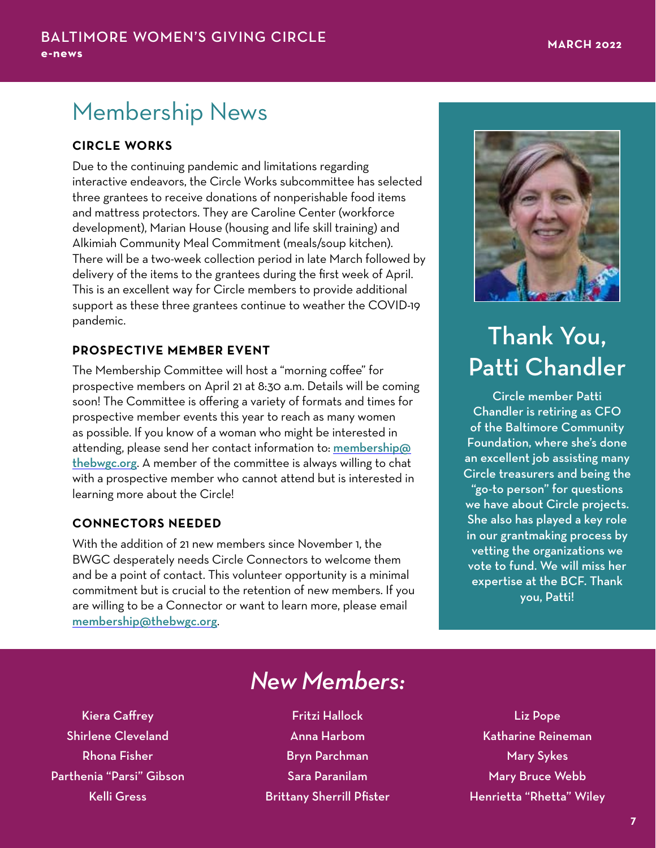## Membership News

#### **CIRCLE WORKS**

Due to the continuing pandemic and limitations regarding interactive endeavors, the Circle Works subcommittee has selected three grantees to receive donations of nonperishable food items and mattress protectors. They are Caroline Center (workforce development), Marian House (housing and life skill training) and Alkimiah Community Meal Commitment (meals/soup kitchen). There will be a two-week collection period in late March followed by delivery of the items to the grantees during the first week of April. This is an excellent way for Circle members to provide additional support as these three grantees continue to weather the COVID-19 pandemic.

#### **PROSPECTIVE MEMBER EVENT**

The Membership Committee will host a "morning coffee" for prospective members on April 21 at 8:30 a.m. Details will be coming soon! The Committee is offering a variety of formats and times for prospective member events this year to reach as many women as possible. If you know of a woman who might be interested in attending, please send her contact information to: [membership@](http://membership@thebwgc.org) [thebwgc.org](http://membership@thebwgc.org). A member of the committee is always willing to chat with a prospective member who cannot attend but is interested in learning more about the Circle!

#### **CONNECTORS NEEDED**

With the addition of 21 new members since November 1, the BWGC desperately needs Circle Connectors to welcome them and be a point of contact. This volunteer opportunity is a minimal commitment but is crucial to the retention of new members. If you are willing to be a Connector or want to learn more, please email [membership@thebwgc.org](mailto:membership@thebwgc.org).



# Thank You, Patti Chandler

Circle member Patti Chandler is retiring as CFO of the Baltimore Community Foundation, where she's done an excellent job assisting many Circle treasurers and being the "go-to person" for questions we have about Circle projects. She also has played a key role in our grantmaking process by vetting the organizations we vote to fund. We will miss her expertise at the BCF. Thank you, Patti!

Kiera Caffrey Shirlene Cleveland Rhona Fisher Parthenia "Parsi" Gibson Kelli Gress

## *New Members:*

Fritzi Hallock Anna Harbom Bryn Parchman Sara Paranilam Brittany Sherrill Pfister

Liz Pope Katharine Reineman Mary Sykes Mary Bruce Webb Henrietta "Rhetta" Wiley